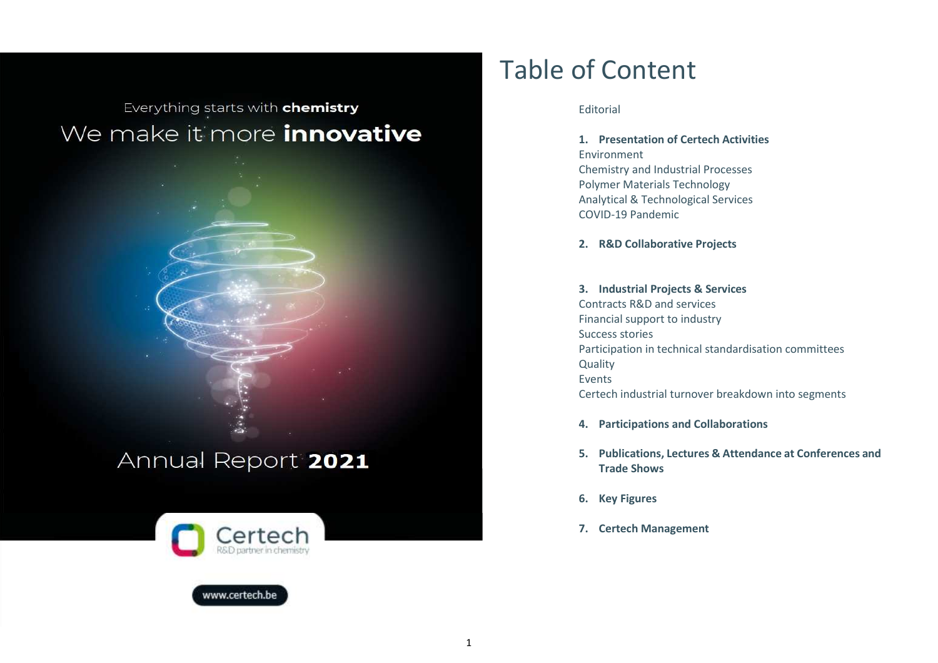Everything starts with **chemistry** We make it more *innovative* 





www.certech.be

# Table of Content

### Editorial

**1. Presentation of Certech Activities**  Environment Chemistry and Industrial Processes Polymer Materials Technology Analytical & Technological Services COVID-19 Pandemic

**2. R&D Collaborative Projects** 

# **3. Industrial Projects & Services**

Contracts R&D and services Financial support to industry Success stories Participation in technical standardisation committees **Quality** Events Certech industrial turnover breakdown into segments

- **4. Participations and Collaborations**
- **5. Publications, Lectures & Attendance at Conferences and Trade Shows**
- **6. Key Figures**
- **7. Certech Management**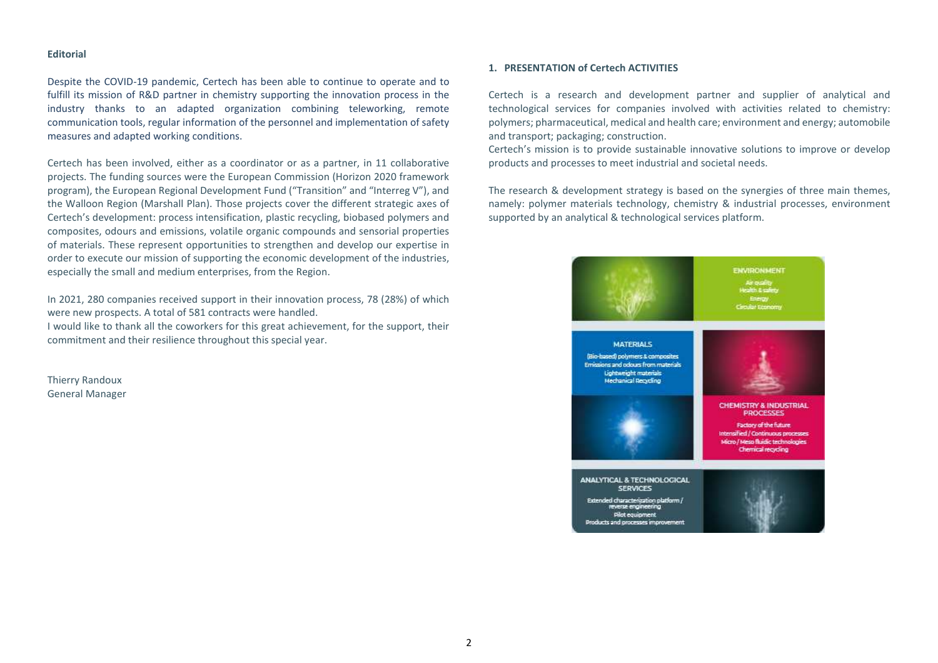#### **Editorial**

Despite the COVID-19 pandemic, Certech has been able to continue to operate and to fulfill its mission of R&D partner in chemistry supporting the innovation process in the industry thanks to an adapted organization combining teleworking, remote communication tools, regular information of the personnel and implementation of safety measures and adapted working conditions.

Certech has been involved, either as a coordinator or as a partner, in 11 collaborative projects. The funding sources were the European Commission (Horizon 2020 framework program), the European Regional Development Fund ("Transition" and "Interreg V"), and the Walloon Region (Marshall Plan). Those projects cover the different strategic axes of Certech's development: process intensification, plastic recycling, biobased polymers and composites, odours and emissions, volatile organic compounds and sensorial properties of materials. These represent opportunities to strengthen and develop our expertise in order to execute our mission of supporting the economic development of the industries, especially the small and medium enterprises, from the Region.

In 2021, 280 companies received support in their innovation process, 78 (28%) of which were new prospects. A total of 581 contracts were handled.

I would like to thank all the coworkers for this great achievement, for the support, their commitment and their resilience throughout this special year.

Thierry Randoux General Manager

# **1. PRESENTATION of Certech ACTIVITIES**

Certech is a research and development partner and supplier of analytical and technological services for companies involved with activities related to chemistry: polymers; pharmaceutical, medical and health care; environment and energy; automobile and transport; packaging; construction.

Certech's mission is to provide sustainable innovative solutions to improve or develop products and processes to meet industrial and societal needs.

The research & development strategy is based on the synergies of three main themes, namely: polymer materials technology, chemistry & industrial processes, environment supported by an analytical & technological services platform.

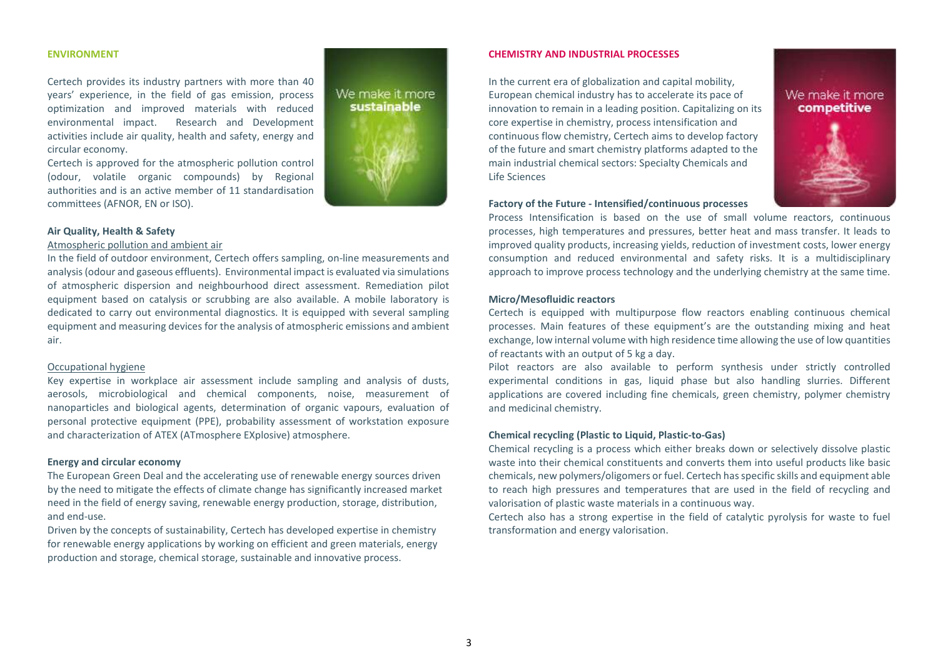#### **ENVIRONMENT**

Certech provides its industry partners with more than 40 years' experience, in the field of gas emission, process optimization and improved materials with reduced environmental impact. Research and Development activities include air quality, health and safety, energy and circular economy.

Certech is approved for the atmospheric pollution control (odour, volatile organic compounds) by Regional authorities and is an active member of 11 standardisation committees (AFNOR, EN or ISO).

# We make it more sustainable

#### **Air Quality, Health & Safety**

#### Atmospheric pollution and ambient air

In the field of outdoor environment, Certech offers sampling, on-line measurements and analysis (odour and gaseous effluents). Environmental impact is evaluated via simulations of atmospheric dispersion and neighbourhood direct assessment. Remediation pilot equipment based on catalysis or scrubbing are also available. A mobile laboratory is dedicated to carry out environmental diagnostics. It is equipped with several sampling equipment and measuring devices for the analysis of atmospheric emissions and ambient air.

#### Occupational hygiene

Key expertise in workplace air assessment include sampling and analysis of dusts, aerosols, microbiological and chemical components, noise, measurement of nanoparticles and biological agents, determination of organic vapours, evaluation of personal protective equipment (PPE), probability assessment of workstation exposure and characterization of ATEX (ATmosphere EXplosive) atmosphere.

#### **Energy and circular economy**

 The European Green Deal and the accelerating use of renewable energy sources driven by the need to mitigate the effects of climate change has significantly increased market need in the field of energy saving, renewable energy production, storage, distribution, and end-use.

Driven by the concepts of sustainability, Certech has developed expertise in chemistry for renewable energy applications by working on efficient and green materials, energy production and storage, chemical storage, sustainable and innovative process.

#### **CHEMISTRY AND INDUSTRIAL PROCESSES**

In the current era of globalization and capital mobility, European chemical industry has to accelerate its pace of innovation to remain in a leading position. Capitalizing on its core expertise in chemistry, process intensification and continuous flow chemistry, Certech aims to develop factory of the future and smart chemistry platforms adapted to the main industrial chemical sectors: Specialty Chemicals and Life Sciences



#### **Factory of the Future - Intensified/continuous processes**

Process Intensification is based on the use of small volume reactors, continuous processes, high temperatures and pressures, better heat and mass transfer. It leads to improved quality products, increasing yields, reduction of investment costs, lower energy consumption and reduced environmental and safety risks. It is a multidisciplinary approach to improve process technology and the underlying chemistry at the same time.

#### **Micro/Mesofluidic reactors**

Certech is equipped with multipurpose flow reactors enabling continuous chemical processes. Main features of these equipment's are the outstanding mixing and heat exchange, low internal volume with high residence time allowing the use of low quantities of reactants with an output of 5 kg a day.

Pilot reactors are also available to perform synthesis under strictly controlled experimental conditions in gas, liquid phase but also handling slurries. Different applications are covered including fine chemicals, green chemistry, polymer chemistry and medicinal chemistry.

#### **Chemical recycling (Plastic to Liquid, Plastic-to-Gas)**

Chemical recycling is a process which either breaks down or selectively dissolve plastic waste into their chemical constituents and converts them into useful products like basic chemicals, new polymers/oligomers or fuel. Certech has specific skills and equipment able to reach high pressures and temperatures that are used in the field of recycling and valorisation of plastic waste materials in a continuous way.

Certech also has a strong expertise in the field of catalytic pyrolysis for waste to fuel transformation and energy valorisation.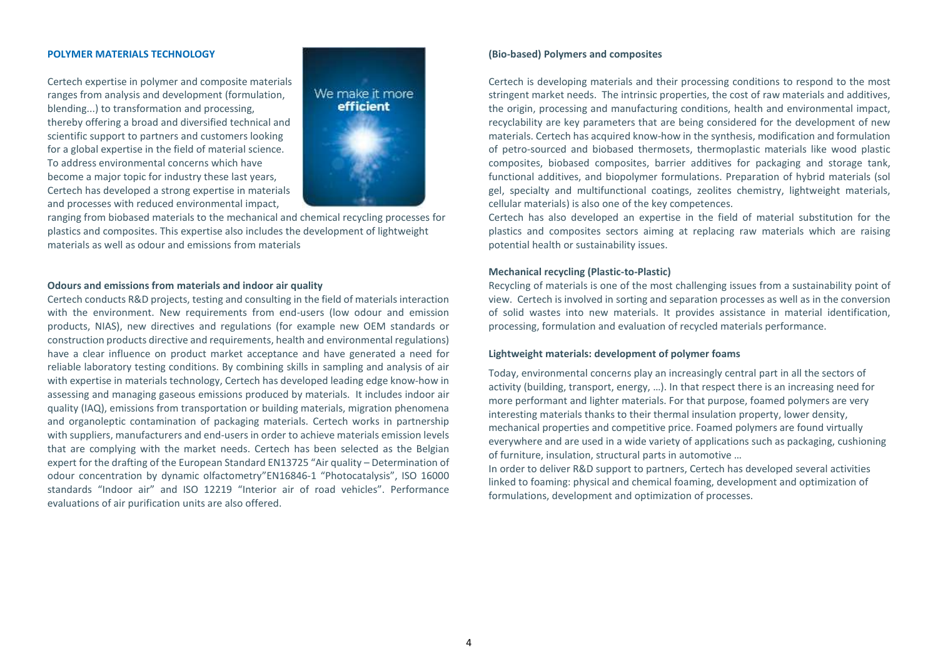#### **POLYMER MATERIALS TECHNOLOGY**

Certech expertise in polymer and composite materials ranges from analysis and development (formulation, blending...) to transformation and processing, thereby offering a broad and diversified technical and scientific support to partners and customers looking for a global expertise in the field of material science. To address environmental concerns which have become a major topic for industry these last years,Certech has developed a strong expertise in materials and processes with reduced environmental impact,



ranging from biobased materials to the mechanical and chemical recycling processes for plastics and composites. This expertise also includes the development of lightweight materials as well as odour and emissions from materials

#### **Odours and emissions from materials and indoor air quality**

Certech conducts R&D projects, testing and consulting in the field of materials interaction with the environment. New requirements from end-users (low odour and emission products, NIAS), new directives and regulations (for example new OEM standards or construction products directive and requirements, health and environmental regulations) have a clear influence on product market acceptance and have generated a need for reliable laboratory testing conditions. By combining skills in sampling and analysis of air with expertise in materials technology, Certech has developed leading edge know-how in assessing and managing gaseous emissions produced by materials. It includes indoor air quality (IAQ), emissions from transportation or building materials, migration phenomena and organoleptic contamination of packaging materials. Certech works in partnership with suppliers, manufacturers and end-users in order to achieve materials emission levels that are complying with the market needs. Certech has been selected as the Belgian expert for the drafting of the European Standard EN13725 "Air quality – Determination of odour concentration by dynamic olfactometry"EN16846-1 "Photocatalysis", ISO 16000 standards "Indoor air" and ISO 12219 "Interior air of road vehicles". Performance evaluations of air purification units are also offered.

#### **(Bio-based) Polymers and composites**

Certech is developing materials and their processing conditions to respond to the most stringent market needs. The intrinsic properties, the cost of raw materials and additives, the origin, processing and manufacturing conditions, health and environmental impact, recyclability are key parameters that are being considered for the development of new materials. Certech has acquired know-how in the synthesis, modification and formulation of petro-sourced and biobased thermosets, thermoplastic materials like wood plastic composites, biobased composites, barrier additives for packaging and storage tank, functional additives, and biopolymer formulations. Preparation of hybrid materials (sol gel, specialty and multifunctional coatings, zeolites chemistry, lightweight materials, cellular materials) is also one of the key competences.

Certech has also developed an expertise in the field of material substitution for the plastics and composites sectors aiming at replacing raw materials which are raising potential health or sustainability issues.

#### **Mechanical recycling (Plastic-to-Plastic)**

Recycling of materials is one of the most challenging issues from a sustainability point of view. Certech is involved in sorting and separation processes as well as in the conversion of solid wastes into new materials. It provides assistance in material identification, processing, formulation and evaluation of recycled materials performance.

#### **Lightweight materials: development of polymer foams**

Today, environmental concerns play an increasingly central part in all the sectors of activity (building, transport, energy, …). In that respect there is an increasing need for more performant and lighter materials. For that purpose, foamed polymers are very interesting materials thanks to their thermal insulation property, lower density, mechanical properties and competitive price. Foamed polymers are found virtually everywhere and are used in a wide variety of applications such as packaging, cushioning of furniture, insulation, structural parts in automotive …

In order to deliver R&D support to partners, Certech has developed several activities linked to foaming: physical and chemical foaming, development and optimization of formulations, development and optimization of processes.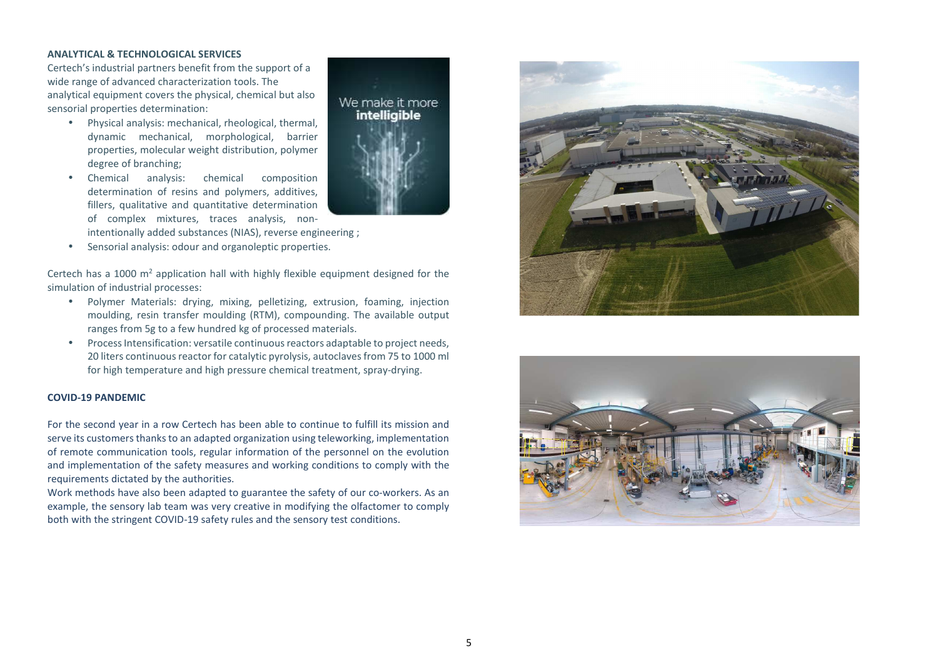#### **ANALYTICAL & TECHNOLOGICAL SERVICES**

Certech's industrial partners benefit from the support of a wide range of advanced characterization tools. The analytical equipment covers the physical, chemical but also sensorial properties determination:

- Physical analysis: mechanical, rheological, thermal, dynamic mechanical, morphological, barrier properties, molecular weight distribution, polymer degree of branching;
- • Chemical analysis: chemical composition determination of resins and polymers, additives, fillers, qualitative and quantitative determinationof complex mixtures, traces analysis, non-
- intentionally added substances (NIAS), reverse engineering ;
- •Sensorial analysis: odour and organoleptic properties.

Certech has a 1000  $m^2$  application hall with highly flexible equipment designed for the simulation of industrial processes:

• Polymer Materials: drying, mixing, pelletizing, extrusion, foaming, injection moulding, resin transfer moulding (RTM), compounding. The available output ranges from 5g to a few hundred kg of processed materials.

We make it more intelligible

• Process Intensification: versatile continuous reactors adaptable to project needs, 20 liters continuous reactor for catalytic pyrolysis, autoclaves from 75 to 1000 ml for high temperature and high pressure chemical treatment, spray-drying.

#### **COVID-19 PANDEMIC**

For the second year in a row Certech has been able to continue to fulfill its mission and serve its customers thanks to an adapted organization using teleworking, implementation of remote communication tools, regular information of the personnel on the evolution and implementation of the safety measures and working conditions to comply with the requirements dictated by the authorities.

Work methods have also been adapted to guarantee the safety of our co-workers. As an example, the sensory lab team was very creative in modifying the olfactomer to comply both with the stringent COVID-19 safety rules and the sensory test conditions.



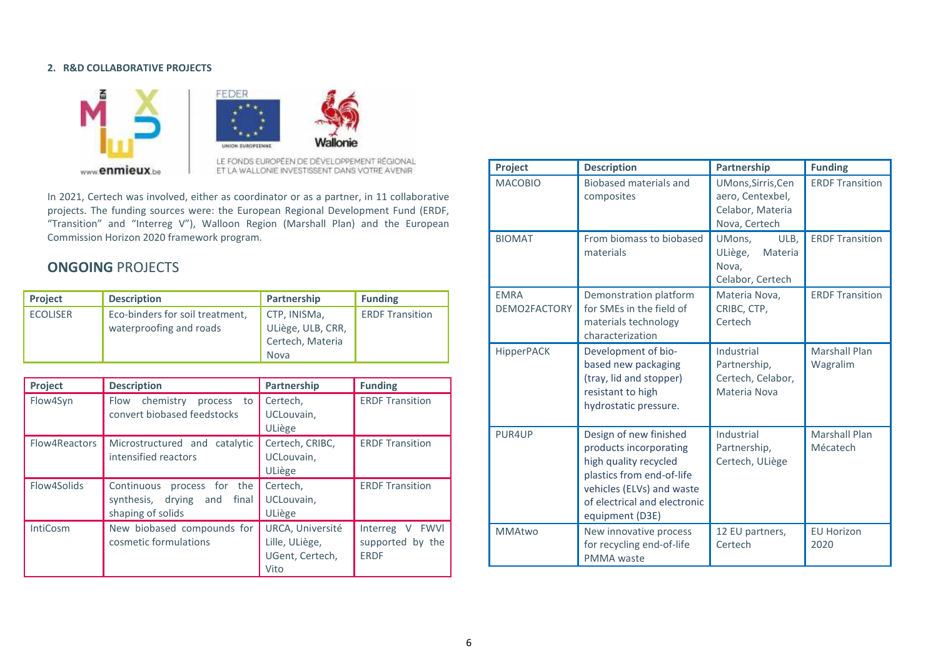#### **2. R&D COLLABORATIVE PROJECTS**



Wallon

ET LA WALLONIE INVESTISSENT DANS VOTRE AVENIR

In 2021, Certech was involved, either as coordinator or as a partner, in 11 collaborative projects. The funding sources were: the European Regional Development Fund (ERDF, "Transition" and "Interreg V"), Walloon Region (Marshall Plan) and the European Commission Horizon 2020 framework program.

# **ONGOING** PROJECTS

| <b>Project</b>  | <b>Description</b>              | Partnership       | <b>Funding</b>         |
|-----------------|---------------------------------|-------------------|------------------------|
| <b>ECOLISER</b> | Eco-binders for soil treatment, | CTP, INISMa,      | <b>ERDF Transition</b> |
|                 | waterproofing and roads         | ULiège, ULB, CRR, |                        |
|                 |                                 | Certech, Materia  |                        |
|                 |                                 | Nova              |                        |

| Project         | <b>Description</b>                                                                   | Partnership                                                   | <b>Funding</b>                                                  |
|-----------------|--------------------------------------------------------------------------------------|---------------------------------------------------------------|-----------------------------------------------------------------|
| Flow4Syn        | chemistry<br>Flow<br>process<br>to<br>convert biobased feedstocks                    | Certech,<br>UCLouvain,<br>ULiège                              | <b>ERDF Transition</b>                                          |
| Flow4Reactors   | Microstructured and catalytic<br>intensified reactors                                | Certech. CRIBC.<br>UCLouvain,<br>ULiège                       | <b>ERDF Transition</b>                                          |
| Flow4Solids     | process for the<br>Continuous<br>synthesis, drying and<br>final<br>shaping of solids | Certech,<br>UCLouvain,<br>ULiège                              | <b>ERDF Transition</b>                                          |
| <b>IntiCosm</b> | New biobased compounds for<br>cosmetic formulations                                  | URCA, Université<br>Lille, ULiège,<br>UGent, Certech,<br>Vito | Interreg<br><b>FWVI</b><br>V<br>supported by the<br><b>ERDF</b> |

| Project                     | <b>Description</b>                                                                                                                                                                     | Partnership                                                                 | <b>Funding</b>                   |
|-----------------------------|----------------------------------------------------------------------------------------------------------------------------------------------------------------------------------------|-----------------------------------------------------------------------------|----------------------------------|
| <b>MACOBIO</b>              | Biobased materials and<br>composites                                                                                                                                                   | UMons, Sirris, Cen<br>aero, Centexbel,<br>Celabor, Materia<br>Nova, Certech | <b>ERDF Transition</b>           |
| <b>BIOMAT</b>               | From biomass to biobased<br>materials                                                                                                                                                  | UMons,<br>ULB.<br>ULiège,<br>Materia<br>Nova,<br>Celabor, Certech           | <b>ERDF Transition</b>           |
| <b>EMRA</b><br>DEMO2FACTORY | Demonstration platform<br>for SMEs in the field of<br>materials technology<br>characterization                                                                                         | Materia Nova,<br>CRIBC, CTP,<br>Certech                                     | <b>ERDF Transition</b>           |
| HipperPACK                  | Development of bio-<br>based new packaging<br>(tray, lid and stopper)<br>resistant to high<br>hydrostatic pressure.                                                                    | Industrial<br>Partnership,<br>Certech, Celabor,<br>Materia Nova             | <b>Marshall Plan</b><br>Wagralim |
| PUR4UP                      | Design of new finished<br>products incorporating<br>high quality recycled<br>plastics from end-of-life<br>vehicles (ELVs) and waste<br>of electrical and electronic<br>equipment (D3E) | Industrial<br>Partnership,<br>Certech, ULiège                               | <b>Marshall Plan</b><br>Mécatech |
| <b>MMAtwo</b>               | New innovative process<br>for recycling end-of-life<br>PMMA waste                                                                                                                      | 12 EU partners,<br>Certech                                                  | <b>EU Horizon</b><br>2020        |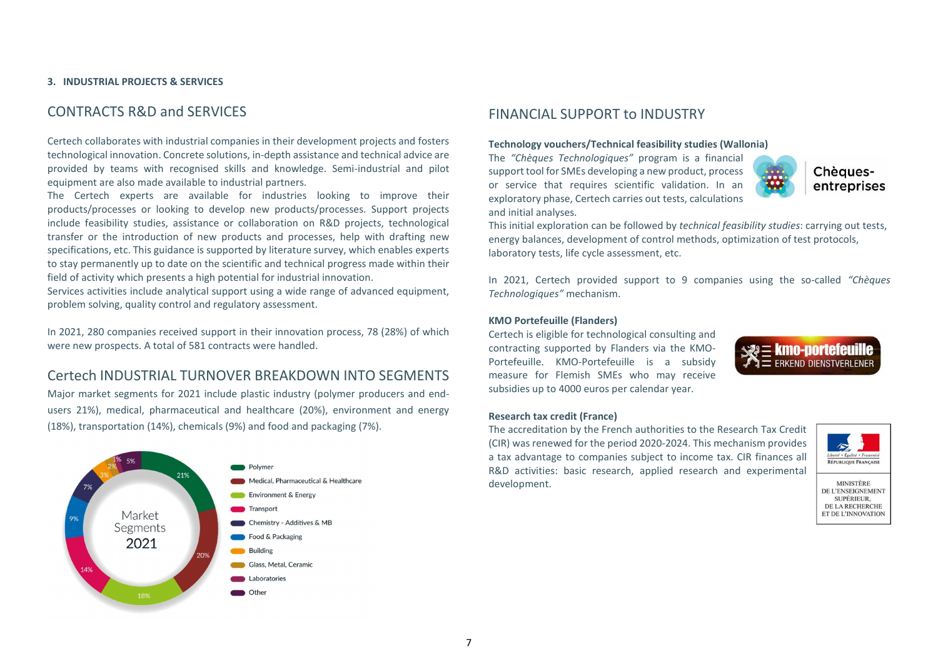#### **3. INDUSTRIAL PROJECTS & SERVICES**

# CONTRACTS R&D and SERVICES

Certech collaborates with industrial companies in their development projects and fosters technological innovation. Concrete solutions, in-depth assistance and technical advice are provided by teams with recognised skills and knowledge. Semi-industrial and pilot equipment are also made available to industrial partners.

The Certech experts are available for industries looking to improve their products/processes or looking to develop new products/processes. Support projects include feasibility studies, assistance or collaboration on R&D projects, technological transfer or the introduction of new products and processes, help with drafting new specifications, etc. This guidance is supported by literature survey, which enables experts to stay permanently up to date on the scientific and technical progress made within their field of activity which presents a high potential for industrial innovation.

Services activities include analytical support using a wide range of advanced equipment, problem solving, quality control and regulatory assessment.

In 2021, 280 companies received support in their innovation process, 78 (28%) of which were new prospects. A total of 581 contracts were handled.

# Certech INDUSTRIAL TURNOVER BREAKDOWN INTO SEGMENTS

 Major market segments for 2021 include plastic industry (polymer producers and endusers 21%), medical, pharmaceutical and healthcare (20%), environment and energy (18%), transportation (14%), chemicals (9%) and food and packaging (7%).



# FINANCIAL SUPPORT to INDUSTRY

#### **Technology vouchers/Technical feasibility studies (Wallonia)**

The *"Chèques Technologiques"* program is a financial support tool for SMEs developing a new product, process or service that requires scientific validation. In an exploratory phase, Certech carries out tests, calculations and initial analyses.



Chèauesentreprises

This initial exploration can be followed by *technical feasibility studies*: carrying out tests, energy balances, development of control methods, optimization of test protocols, laboratory tests, life cycle assessment, etc.

In 2021, Certech provided support to 9 companies using the so-called *"Chèques Technologiques"* mechanism.

#### **KMO Portefeuille (Flanders)**

Certech is eligible for technological consulting and contracting supported by Flanders via the KMO-Portefeuille. KMO-Portefeuille is a subsidy measure for Flemish SMEs who may receive subsidies up to 4000 euros per calendar year.



#### **Research tax credit (France)**

The accreditation by the French authorities to the Research Tax Credit (CIR) was renewed for the period 2020-2024. This mechanism provides a tax advantage to companies subject to income tax. CIR finances all R&D activities: basic research, applied research and experimental development.



**MINISTÈRE** DE L'ENSEIGNEMENT SUPÉRIEUR, DE LA RECHERCHE ET DE L'INNOVATION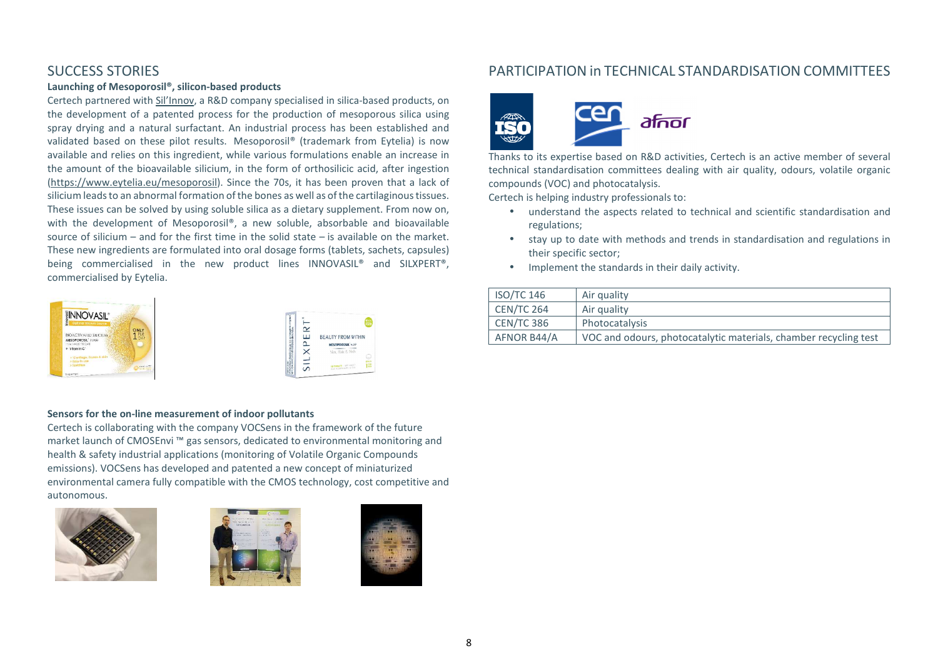# SUCCESS STORIES

#### **Launching of Mesoporosil®, silicon-based products**

Certech partnered with Sil'Innov, a R&D company specialised in silica-based products, on the development of a patented process for the production of mesoporous silica using spray drying and a natural surfactant. An industrial process has been established and validated based on these pilot results. Mesoporosil® (trademark from Eytelia) is now available and relies on this ingredient, while various formulations enable an increase in the amount of the bioavailable silicium, in the form of orthosilicic acid, after ingestion (https://www.eytelia.eu/mesoporosil). Since the 70s, it has been proven that a lack of silicium leads to an abnormal formation of the bones as well as of the cartilaginous tissues. These issues can be solved by using soluble silica as a dietary supplement. From now on, with the development of Mesoporosil®, a new soluble, absorbable and bioavailable source of silicium  $-$  and for the first time in the solid state  $-$  is available on the market. These new ingredients are formulated into oral dosage forms (tablets, sachets, capsules) being commercialised in the new product lines INNOVASIL® and SILXPERT®, commercialised by Eytelia.



#### **Sensors for the on-line measurement of indoor pollutants**

 Certech is collaborating with the company VOCSens in the framework of the future market launch of CMOSEnvi ™ gas sensors, dedicated to environmental monitoring and health & safety industrial applications (monitoring of Volatile Organic Compounds emissions). VOCSens has developed and patented a new concept of miniaturized environmental camera fully compatible with the CMOS technology, cost competitive and autonomous.







# PARTICIPATION in TECHNICAL STANDARDISATION COMMITTEES



Thanks to its expertise based on R&D activities, Certech is an active member of several technical standardisation committees dealing with air quality, odours, volatile organic compounds (VOC) and photocatalysis.

Certech is helping industry professionals to:

- understand the aspects related to technical and scientific standardisation and regulations;
- stay up to date with methods and trends in standardisation and regulations in their specific sector;
- •Implement the standards in their daily activity.

| <b>ISO/TC 146</b> | Air quality                                                      |
|-------------------|------------------------------------------------------------------|
| CEN/TC 264        | Air quality                                                      |
| CEN/TC 386        | Photocatalysis                                                   |
| AFNOR B44/A       | VOC and odours, photocatalytic materials, chamber recycling test |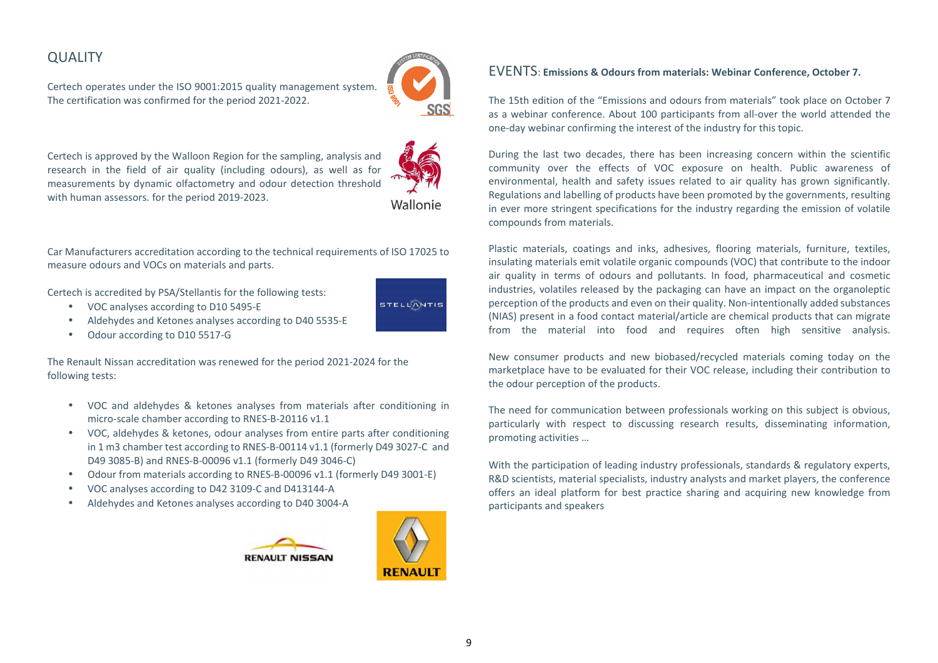# **QUALITY**

Certech operates under the ISO 9001:2015 quality management system. The certification was confirmed for the period 2021-2022.



Certech is approved by the Walloon Region for the sampling, analysis and research in the field of air quality (including odours), as well as for measurements by dynamic olfactometry and odour detection threshold with human assessors. for the period 2019-2023.

Wallonie

Car Manufacturers accreditation according to the technical requirements of ISO 17025 to measure odours and VOCs on materials and parts.

Certech is accredited by PSA/Stellantis for the following tests:

- •VOC analyses according to D10 5495-E
- •Aldehydes and Ketones analyses according to D40 5535-E
- •Odour according to D10 5517-G

The Renault Nissan accreditation was renewed for the period 2021-2024 for the following tests:

- VOC and aldehydes & ketones analyses from materials after conditioning in micro-scale chamber according to RNES-B-20116 v1.1
- VOC, aldehydes & ketones, odour analyses from entire parts after conditioning in 1 m3 chamber test according to RNES-B-00114 v1.1 (formerly D49 3027-C and D49 3085-B) and RNES-B-00096 v1.1 (formerly D49 3046-C)
- •Odour from materials according to RNES-B-00096 v1.1 (formerly D49 3001-E)
- •VOC analyses according to D42 3109-C and D413144-A
- •Aldehydes and Ketones analyses according to D40 3004-A





# EVENTS: **Emissions & Odours from materials: Webinar Conference, October 7.**

The 15th edition of the "Emissions and odours from materials" took place on October 7 as a webinar conference. About 100 participants from all-over the world attended the one-day webinar confirming the interest of the industry for this topic.

During the last two decades, there has been increasing concern within the scientific community over the effects of VOC exposure on health. Public awareness of environmental, health and safety issues related to air quality has grown significantly. Regulations and labelling of products have been promoted by the governments, resulting in ever more stringent specifications for the industry regarding the emission of volatile compounds from materials.

Plastic materials, coatings and inks, adhesives, flooring materials, furniture, textiles, insulating materials emit volatile organic compounds (VOC) that contribute to the indoor air quality in terms of odours and pollutants. In food, pharmaceutical and cosmetic industries, volatiles released by the packaging can have an impact on the organoleptic perception of the products and even on their quality. Non-intentionally added substances (NIAS) present in a food contact material/article are chemical products that can migrate from the material into food and requires often high sensitive analysis.

New consumer products and new biobased/recycled materials coming today on the marketplace have to be evaluated for their VOC release, including their contribution to the odour perception of the products.

The need for communication between professionals working on this subject is obvious, particularly with respect to discussing research results, disseminating information, promoting activities …

With the participation of leading industry professionals, standards & regulatory experts, R&D scientists, material specialists, industry analysts and market players, the conference offers an ideal platform for best practice sharing and acquiring new knowledge from participants and speakers

STELLANTIS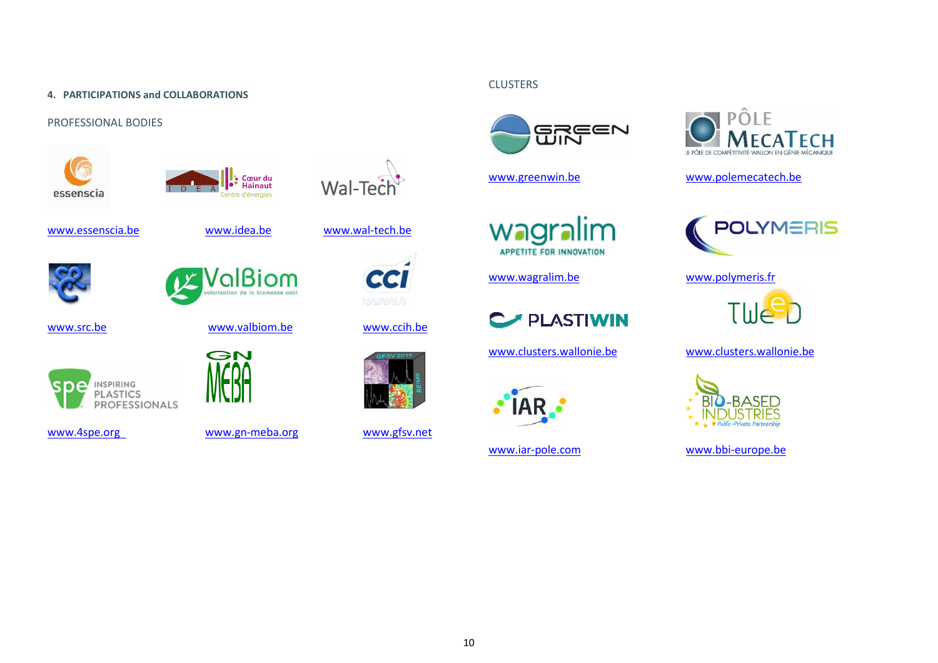#### **4. PARTICIPATIONS and COLLABORATIONS**

#### PROFESSIONAL BODIES



www.src.be

ρ

INSPIRING

PLASTICS<br>PROFESSIONALS





www.essenscia.be www.idea.be www.wal-tech.be



GN

www.valbiom.be www.ccih.be





www.4spe.org www.gn-meba.org

www.gfsv.net

# **CLUSTERS**



www.greenwin.be

wagralim **APPETITE FOR INNOVATION** 

PLASTIWIN

www.clusters.wallonie.be



www.iar-pole.com



www.polemecatech.be



www.wagralim.be www.polymeris.fr



www.clusters.wallonie.be



www.bbi-europe.be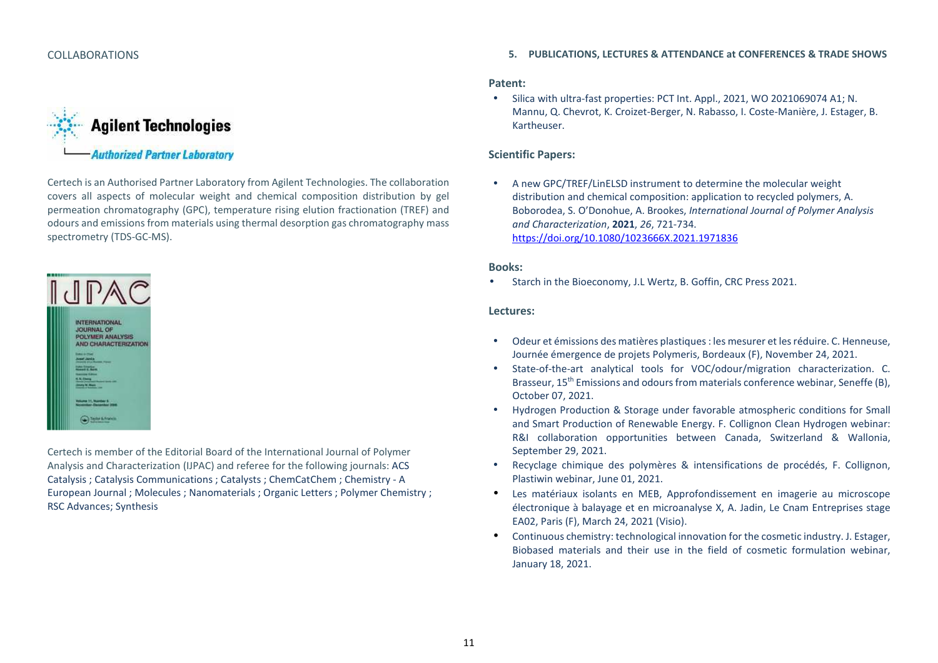#### COLLABORATIONS



Certech is an Authorised Partner Laboratory from Agilent Technologies. The collaboration covers all aspects of molecular weight and chemical composition distribution by gel permeation chromatography (GPC), temperature rising elution fractionation (TREF) and odours and emissions from materials using thermal desorption gas chromatography mass spectrometry (TDS-GC-MS).



Certech is member of the Editorial Board of the International Journal of Polymer Analysis and Characterization (IJPAC) and referee for the following journals: ACS Catalysis ; Catalysis Communications ; Catalysts ; ChemCatChem ; Chemistry - A European Journal ; Molecules ; Nanomaterials ; Organic Letters ; Polymer Chemistry ; RSC Advances; Synthesis

#### **5. PUBLICATIONS, LECTURES & ATTENDANCE at CONFERENCES & TRADE SHOWS**

#### **Patent:**

• Silica with ultra-fast properties: PCT Int. Appl., 2021, WO 2021069074 A1; N. Mannu, Q. Chevrot, K. Croizet-Berger, N. Rabasso, I. Coste-Manière, J. Estager, B. Kartheuser.

#### **Scientific Papers:**

• A new GPC/TREF/LinELSD instrument to determine the molecular weight distribution and chemical composition: application to recycled polymers, A. Boborodea, S. O'Donohue, A. Brookes, *International Journal of Polymer Analysis and Characterization*, **2021**, *26*, 721-734. https://doi.org/10.1080/1023666X.2021.1971836

#### **Books:**

•Starch in the Bioeconomy, J.L Wertz, B. Goffin, CRC Press 2021.

#### **Lectures:**

- • Odeur et émissions des matières plastiques : les mesurer et les réduire. C. Henneuse, Journée émergence de projets Polymeris, Bordeaux (F), November 24, 2021.
- • State-of-the-art analytical tools for VOC/odour/migration characterization. C. Brasseur, 15th Emissions and odours from materials conference webinar, Seneffe (B), October 07, 2021.
- • Hydrogen Production & Storage under favorable atmospheric conditions for Small and Smart Production of Renewable Energy. F. Collignon Clean Hydrogen webinar: R&I collaboration opportunities between Canada, Switzerland & Wallonia, September 29, 2021.
- • Recyclage chimique des polymères & intensifications de procédés, F. Collignon, Plastiwin webinar, June 01, 2021.
- $\bullet$  Les matériaux isolants en MEB, Approfondissement en imagerie au microscope électronique à balayage et en microanalyse X, A. Jadin, Le Cnam Entreprises stage EA02, Paris (F), March 24, 2021 (Visio).
- • Continuous chemistry: technological innovation for the cosmetic industry. J. Estager, Biobased materials and their use in the field of cosmetic formulation webinar, January 18, 2021.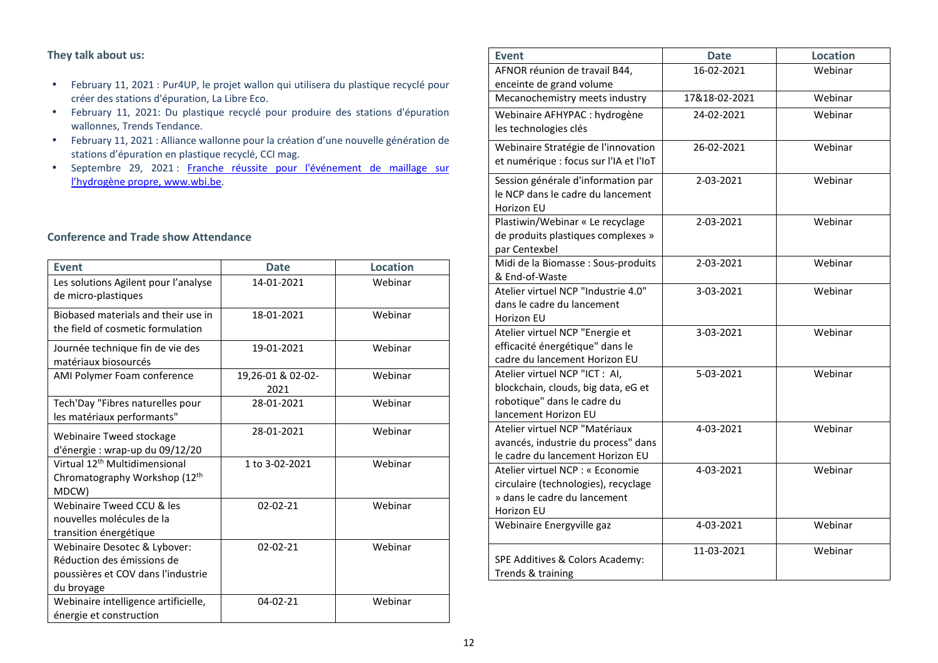# **They talk about us:**

- February 11, 2021 : Pur4UP, le projet wallon qui utilisera du plastique recyclé pour créer des stations d'épuration, La Libre Eco.
- February 11, 2021: Du plastique recyclé pour produire des stations d'épuration wallonnes, Trends Tendance.
- February 11, 2021 : Alliance wallonne pour la création d'une nouvelle génération de stations d'épuration en plastique recyclé, CCI mag.
- Septembre 29, 2021 : Franche réussite pour l'événement de maillage sur l'hydrogène propre, www.wbi.be.

# **Conference and Trade show Attendance**

| <b>Event</b>                              | <b>Date</b>       | <b>Location</b> |
|-------------------------------------------|-------------------|-----------------|
| Les solutions Agilent pour l'analyse      | 14-01-2021        | Webinar         |
| de micro-plastiques                       |                   |                 |
| Biobased materials and their use in       | 18-01-2021        | Webinar         |
| the field of cosmetic formulation         |                   |                 |
| Journée technique fin de vie des          | 19-01-2021        | Webinar         |
| matériaux biosourcés                      |                   |                 |
| AMI Polymer Foam conference               | 19,26-01 & 02-02- | Webinar         |
|                                           | 2021              |                 |
| Tech'Day "Fibres naturelles pour          | 28-01-2021        | Webinar         |
| les matériaux performants"                |                   |                 |
| Webinaire Tweed stockage                  | 28-01-2021        | Webinar         |
| d'énergie : wrap-up du 09/12/20           |                   |                 |
| Virtual 12 <sup>th</sup> Multidimensional | 1 to 3-02-2021    | Webinar         |
| Chromatography Workshop (12th             |                   |                 |
| MDCW)                                     |                   |                 |
| Webinaire Tweed CCU & les                 | 02-02-21          | Webinar         |
| nouvelles molécules de la                 |                   |                 |
| transition énergétique                    |                   |                 |
| Webinaire Desotec & Lybover:              | 02-02-21          | Webinar         |
| Réduction des émissions de                |                   |                 |
| poussières et COV dans l'industrie        |                   |                 |
| du broyage                                |                   |                 |
| Webinaire intelligence artificielle,      | 04-02-21          | Webinar         |
| énergie et construction                   |                   |                 |

| <b>Event</b>                                                                                                                 | <b>Date</b>   | <b>Location</b> |
|------------------------------------------------------------------------------------------------------------------------------|---------------|-----------------|
| AFNOR réunion de travail B44,<br>enceinte de grand volume                                                                    | 16-02-2021    | Webinar         |
| Mecanochemistry meets industry                                                                                               | 17&18-02-2021 | Webinar         |
| Webinaire AFHYPAC : hydrogène<br>les technologies clés                                                                       | 24-02-2021    | Webinar         |
| Webinaire Stratégie de l'innovation<br>et numérique : focus sur l'IA et l'IoT                                                | 26-02-2021    | Webinar         |
| Session générale d'information par<br>le NCP dans le cadre du lancement<br>Horizon EU                                        | 2-03-2021     | Webinar         |
| Plastiwin/Webinar « Le recyclage<br>de produits plastiques complexes »<br>par Centexbel                                      | 2-03-2021     | Webinar         |
| Midi de la Biomasse : Sous-produits<br>& End-of-Waste                                                                        | 2-03-2021     | Webinar         |
| Atelier virtuel NCP "Industrie 4.0"<br>dans le cadre du lancement<br>Horizon EU                                              | 3-03-2021     | Webinar         |
| Atelier virtuel NCP "Energie et<br>efficacité énergétique" dans le<br>cadre du lancement Horizon EU                          | 3-03-2021     | Webinar         |
| Atelier virtuel NCP "ICT : AI,<br>blockchain, clouds, big data, eG et<br>robotique" dans le cadre du<br>lancement Horizon EU | 5-03-2021     | Webinar         |
| Atelier virtuel NCP "Matériaux<br>avancés, industrie du process" dans<br>le cadre du lancement Horizon EU                    | 4-03-2021     | Webinar         |
| Atelier virtuel NCP : « Economie<br>circulaire (technologies), recyclage<br>» dans le cadre du lancement<br>Horizon EU       | 4-03-2021     | Webinar         |
| Webinaire Energyville gaz                                                                                                    | 4-03-2021     | Webinar         |
| SPE Additives & Colors Academy:<br>Trends & training                                                                         | 11-03-2021    | Webinar         |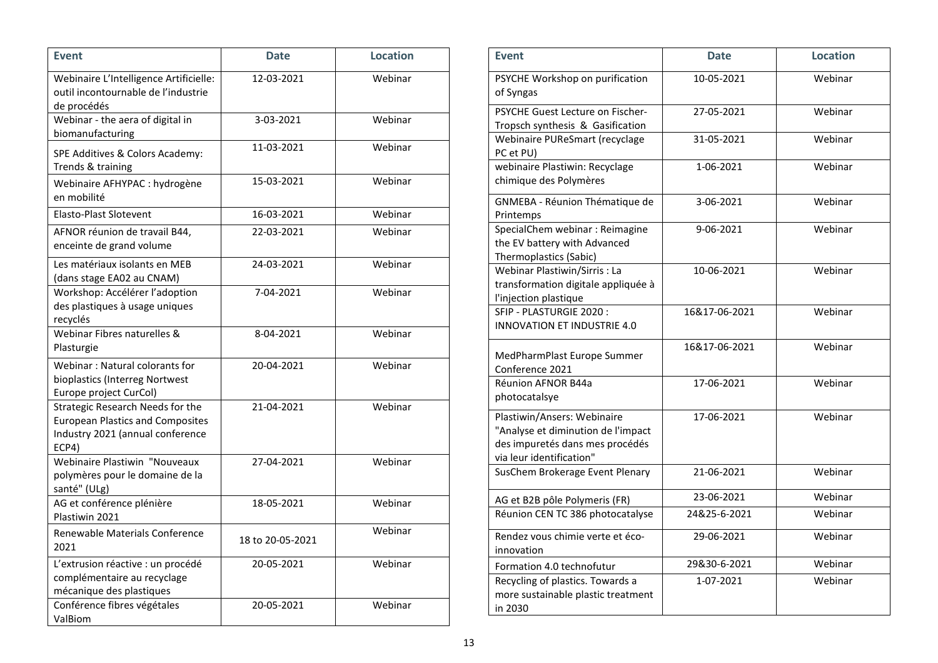| <b>Event</b>                                                                                                             | <b>Date</b>      | <b>Location</b> |
|--------------------------------------------------------------------------------------------------------------------------|------------------|-----------------|
| Webinaire L'Intelligence Artificielle:<br>outil incontournable de l'industrie<br>de procédés                             | 12-03-2021       | Webinar         |
| Webinar - the aera of digital in<br>biomanufacturing                                                                     | 3-03-2021        | Webinar         |
| SPE Additives & Colors Academy:<br>Trends & training                                                                     | 11-03-2021       | Webinar         |
| Webinaire AFHYPAC : hydrogène<br>en mobilité                                                                             | 15-03-2021       | Webinar         |
| <b>Elasto-Plast Slotevent</b>                                                                                            | 16-03-2021       | Webinar         |
| AFNOR réunion de travail B44,<br>enceinte de grand volume                                                                | 22-03-2021       | Webinar         |
| Les matériaux isolants en MEB<br>(dans stage EA02 au CNAM)                                                               | 24-03-2021       | Webinar         |
| Workshop: Accélérer l'adoption<br>des plastiques à usage uniques<br>recyclés                                             | 7-04-2021        | Webinar         |
| Webinar Fibres naturelles &<br>Plasturgie                                                                                | 8-04-2021        | Webinar         |
| Webinar: Natural colorants for<br>bioplastics (Interreg Nortwest<br>Europe project CurCol)                               | 20-04-2021       | Webinar         |
| Strategic Research Needs for the<br><b>European Plastics and Composites</b><br>Industry 2021 (annual conference<br>ECP4) | 21-04-2021       | Webinar         |
| Webinaire Plastiwin "Nouveaux<br>polymères pour le domaine de la<br>santé" (ULg)                                         | 27-04-2021       | Webinar         |
| AG et conférence plénière<br>Plastiwin 2021                                                                              | 18-05-2021       | Webinar         |
| Renewable Materials Conference<br>2021                                                                                   | 18 to 20-05-2021 | Webinar         |
| L'extrusion réactive : un procédé<br>complémentaire au recyclage<br>mécanique des plastiques                             | 20-05-2021       | Webinar         |
| Conférence fibres végétales<br>ValBiom                                                                                   | 20-05-2021       | Webinar         |

| <b>Event</b>                                                                                                                     | <b>Date</b>   | <b>Location</b> |
|----------------------------------------------------------------------------------------------------------------------------------|---------------|-----------------|
| PSYCHE Workshop on purification<br>of Syngas                                                                                     | 10-05-2021    | Webinar         |
| PSYCHE Guest Lecture on Fischer-<br>Tropsch synthesis & Gasification                                                             | 27-05-2021    | Webinar         |
| Webinaire PUReSmart (recyclage<br>PC et PU)                                                                                      | 31-05-2021    | Webinar         |
| webinaire Plastiwin: Recyclage<br>chimique des Polymères                                                                         | 1-06-2021     | Webinar         |
| GNMEBA - Réunion Thématique de<br>Printemps                                                                                      | 3-06-2021     | Webinar         |
| SpecialChem webinar : Reimagine<br>the EV battery with Advanced<br>Thermoplastics (Sabic)                                        | 9-06-2021     | Webinar         |
| Webinar Plastiwin/Sirris: La<br>transformation digitale appliquée à<br>l'injection plastique                                     | 10-06-2021    | Webinar         |
| SFIP - PLASTURGIE 2020:<br><b>INNOVATION ET INDUSTRIE 4.0</b>                                                                    | 16&17-06-2021 | Webinar         |
| MedPharmPlast Europe Summer<br>Conference 2021                                                                                   | 16&17-06-2021 | Webinar         |
| Réunion AFNOR B44a<br>photocatalsye                                                                                              | 17-06-2021    | Webinar         |
| Plastiwin/Ansers: Webinaire<br>"Analyse et diminution de l'impact<br>des impuretés dans mes procédés<br>via leur identification" | 17-06-2021    | Webinar         |
| SusChem Brokerage Event Plenary                                                                                                  | 21-06-2021    | Webinar         |
| AG et B2B pôle Polymeris (FR)                                                                                                    | 23-06-2021    | Webinar         |
| Réunion CEN TC 386 photocatalyse                                                                                                 | 24&25-6-2021  | Webinar         |
| Rendez vous chimie verte et éco-<br>innovation                                                                                   | 29-06-2021    | Webinar         |
| Formation 4.0 technofutur                                                                                                        | 29&30-6-2021  | Webinar         |
| Recycling of plastics. Towards a<br>more sustainable plastic treatment<br>in 2030                                                | 1-07-2021     | Webinar         |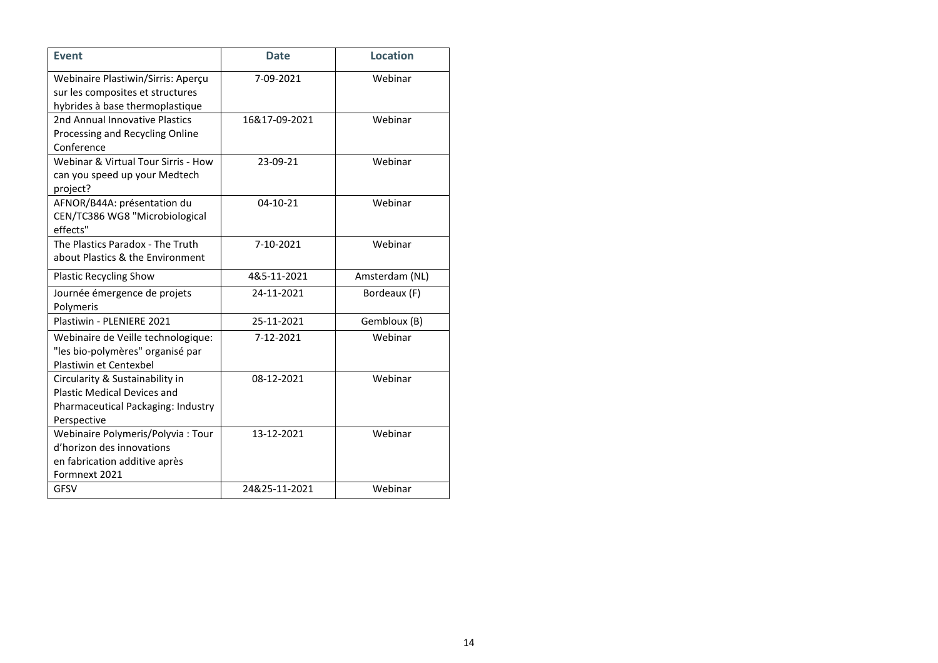| <b>Event</b>                                                                                                               | <b>Date</b>   | <b>Location</b> |
|----------------------------------------------------------------------------------------------------------------------------|---------------|-----------------|
| Webinaire Plastiwin/Sirris: Aperçu<br>sur les composites et structures<br>hybrides à base thermoplastique                  | 7-09-2021     | Webinar         |
| 2nd Annual Innovative Plastics<br>Processing and Recycling Online<br>Conference                                            | 16&17-09-2021 | Webinar         |
| Webinar & Virtual Tour Sirris - How<br>can you speed up your Medtech<br>project?                                           | 23-09-21      | Webinar         |
| AFNOR/B44A: présentation du<br>CEN/TC386 WG8 "Microbiological<br>effects"                                                  | 04-10-21      | Webinar         |
| The Plastics Paradox - The Truth<br>about Plastics & the Environment                                                       | 7-10-2021     | Webinar         |
| <b>Plastic Recycling Show</b>                                                                                              | 4&5-11-2021   | Amsterdam (NL)  |
| Journée émergence de projets<br>Polymeris                                                                                  | 24-11-2021    | Bordeaux (F)    |
| Plastiwin - PLENIERE 2021                                                                                                  | 25-11-2021    | Gembloux (B)    |
| Webinaire de Veille technologique:<br>"les bio-polymères" organisé par<br>Plastiwin et Centexbel                           | 7-12-2021     | Webinar         |
| Circularity & Sustainability in<br><b>Plastic Medical Devices and</b><br>Pharmaceutical Packaging: Industry<br>Perspective | 08-12-2021    | Webinar         |
| Webinaire Polymeris/Polyvia: Tour<br>d'horizon des innovations<br>en fabrication additive après<br>Formnext 2021           | 13-12-2021    | Webinar         |
| <b>GFSV</b>                                                                                                                | 24&25-11-2021 | Webinar         |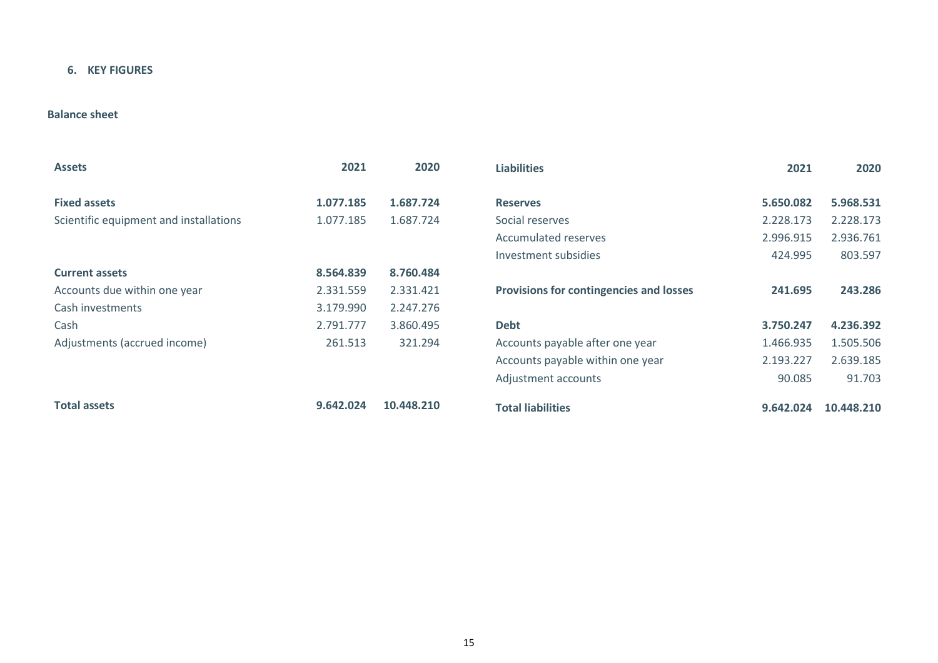# **6. KEY FIGURES**

# **Balance sheet**

| <b>Assets</b>                          | 2021      | 2020       | <b>Liabilities</b>                             | 2021      | 2020       |
|----------------------------------------|-----------|------------|------------------------------------------------|-----------|------------|
| <b>Fixed assets</b>                    | 1.077.185 | 1.687.724  | <b>Reserves</b>                                | 5.650.082 | 5.968.531  |
| Scientific equipment and installations | 1.077.185 | 1.687.724  | Social reserves                                | 2.228.173 | 2.228.173  |
|                                        |           |            | <b>Accumulated reserves</b>                    | 2.996.915 | 2.936.761  |
|                                        |           |            | Investment subsidies                           | 424.995   | 803.597    |
| <b>Current assets</b>                  | 8.564.839 | 8.760.484  |                                                |           |            |
| Accounts due within one year           | 2.331.559 | 2.331.421  | <b>Provisions for contingencies and losses</b> | 241.695   | 243.286    |
| Cash investments                       | 3.179.990 | 2.247.276  |                                                |           |            |
| Cash                                   | 2.791.777 | 3.860.495  | <b>Debt</b>                                    | 3.750.247 | 4.236.392  |
| Adjustments (accrued income)           | 261.513   | 321.294    | Accounts payable after one year                | 1.466.935 | 1.505.506  |
|                                        |           |            | Accounts payable within one year               | 2.193.227 | 2.639.185  |
|                                        |           |            | Adjustment accounts                            | 90.085    | 91.703     |
| <b>Total assets</b>                    | 9.642.024 | 10.448.210 | <b>Total liabilities</b>                       | 9.642.024 | 10.448.210 |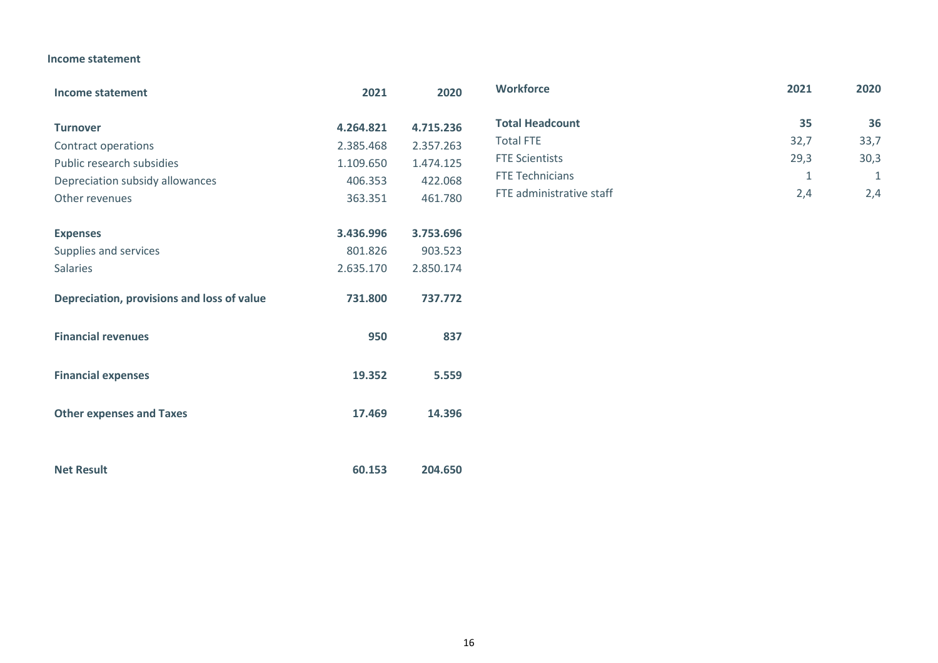## **Income statement**

| Income statement                           | 2021      | 2020      | <b>Workforce</b>         | 2021 | 2020        |
|--------------------------------------------|-----------|-----------|--------------------------|------|-------------|
|                                            | 4.264.821 | 4.715.236 | <b>Total Headcount</b>   | 35   | 36          |
| <b>Turnover</b><br>Contract operations     | 2.385.468 | 2.357.263 | <b>Total FTE</b>         | 32,7 | 33,7        |
| Public research subsidies                  | 1.109.650 | 1.474.125 | <b>FTE Scientists</b>    | 29,3 | 30,3        |
| Depreciation subsidy allowances            | 406.353   | 422.068   | FTE Technicians          | 1    | $\mathbf 1$ |
| Other revenues                             | 363.351   | 461.780   | FTE administrative staff | 2,4  | 2,4         |
|                                            |           |           |                          |      |             |
| <b>Expenses</b>                            | 3.436.996 | 3.753.696 |                          |      |             |
| Supplies and services                      | 801.826   | 903.523   |                          |      |             |
| Salaries                                   | 2.635.170 | 2.850.174 |                          |      |             |
| Depreciation, provisions and loss of value | 731.800   | 737.772   |                          |      |             |
| <b>Financial revenues</b>                  | 950       | 837       |                          |      |             |
| <b>Financial expenses</b>                  | 19.352    | 5.559     |                          |      |             |
| <b>Other expenses and Taxes</b>            | 17.469    | 14.396    |                          |      |             |
|                                            |           |           |                          |      |             |
| <b>Net Result</b>                          | 60.153    | 204.650   |                          |      |             |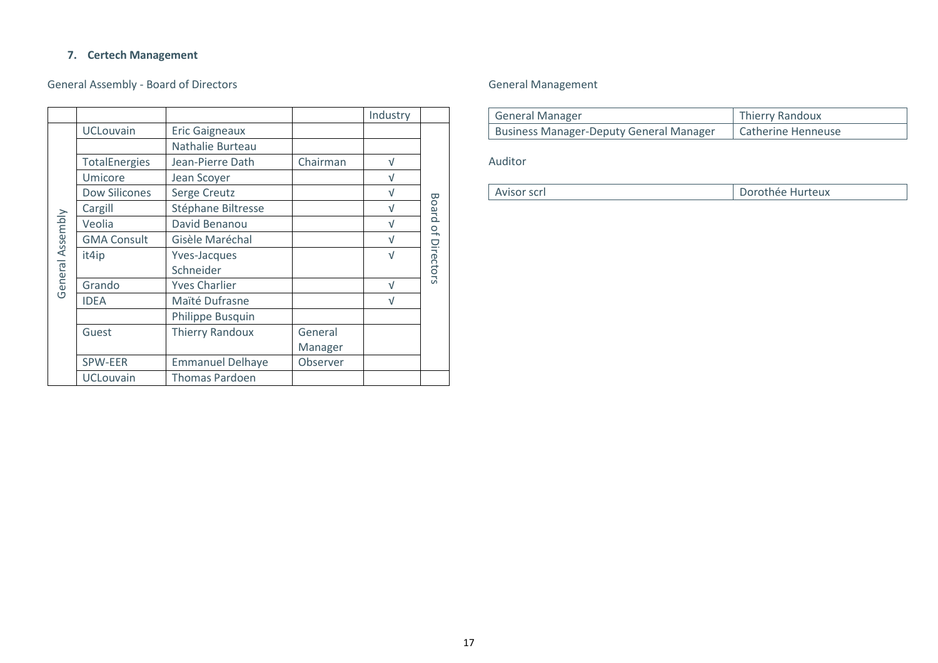#### **7. Certech Management**

# General Assembly - Board of Directors

|                  |                      |                         |          | Industry   |                    |
|------------------|----------------------|-------------------------|----------|------------|--------------------|
|                  | <b>UCLouvain</b>     | <b>Eric Gaigneaux</b>   |          |            |                    |
|                  |                      | Nathalie Burteau        |          |            |                    |
|                  | <b>TotalEnergies</b> | Jean-Pierre Dath        | Chairman | $\sqrt{ }$ |                    |
|                  | Umicore              | Jean Scoyer             |          | $\sqrt{ }$ |                    |
|                  | <b>Dow Silicones</b> | Serge Creutz            |          | V          |                    |
|                  | Cargill              | Stéphane Biltresse      |          | V          |                    |
|                  | Veolia               | David Benanou           |          | $\sqrt{}$  |                    |
| General Assembly | <b>GMA Consult</b>   | Gisèle Maréchal         |          | $\sqrt{ }$ | Board of Directors |
|                  | it4ip                | Yves-Jacques            |          | $\sqrt{ }$ |                    |
|                  |                      | Schneider               |          |            |                    |
|                  | Grando               | <b>Yves Charlier</b>    |          | $\sqrt{}$  |                    |
|                  | <b>IDEA</b>          | Maïté Dufrasne          |          | $\sqrt{}$  |                    |
|                  |                      | Philippe Busquin        |          |            |                    |
|                  | Guest                | <b>Thierry Randoux</b>  | General  |            |                    |
|                  |                      |                         | Manager  |            |                    |
|                  | SPW-EER              | <b>Emmanuel Delhaye</b> | Observer |            |                    |
|                  | <b>UCLouvain</b>     | <b>Thomas Pardoen</b>   |          |            |                    |

# General Management

| General Manager                         | Thierry Randoux    |
|-----------------------------------------|--------------------|
| Business Manager-Deputy General Manager | Catherine Henneuse |

# Auditor

п

| LAvisor scrl | Dorothée Hurteux |
|--------------|------------------|
|--------------|------------------|